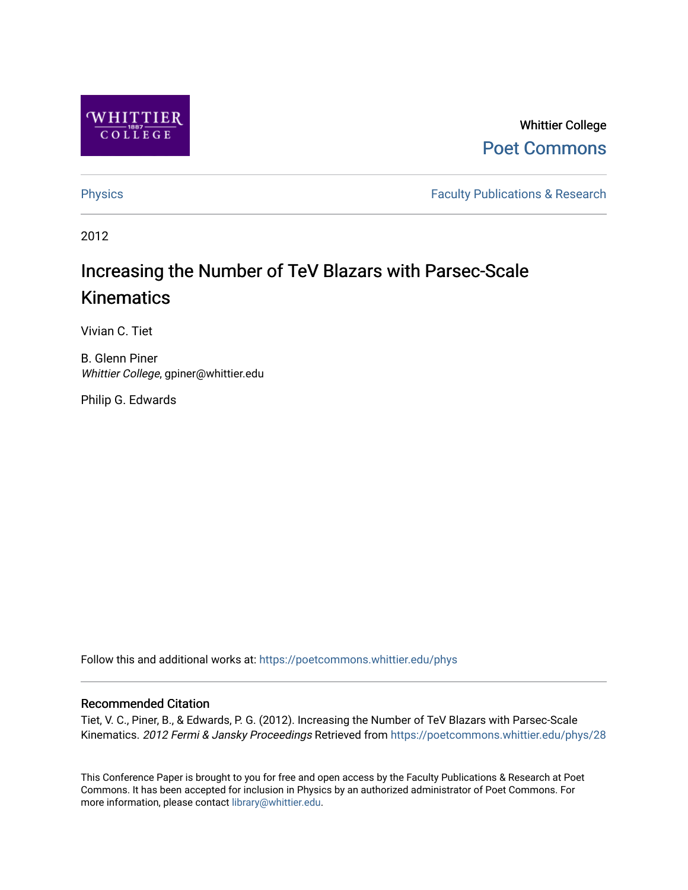

# Whittier College [Poet Commons](https://poetcommons.whittier.edu/)

[Physics](https://poetcommons.whittier.edu/phys) **Faculty Publications & Research Physics Faculty Publications & Research** 

2012

# Increasing the Number of TeV Blazars with Parsec-Scale Kinematics

Vivian C. Tiet

B. Glenn Piner Whittier College, gpiner@whittier.edu

Philip G. Edwards

Follow this and additional works at: [https://poetcommons.whittier.edu/phys](https://poetcommons.whittier.edu/phys?utm_source=poetcommons.whittier.edu%2Fphys%2F28&utm_medium=PDF&utm_campaign=PDFCoverPages)

#### Recommended Citation

Tiet, V. C., Piner, B., & Edwards, P. G. (2012). Increasing the Number of TeV Blazars with Parsec-Scale Kinematics. 2012 Fermi & Jansky Proceedings Retrieved from [https://poetcommons.whittier.edu/phys/28](https://poetcommons.whittier.edu/phys/28?utm_source=poetcommons.whittier.edu%2Fphys%2F28&utm_medium=PDF&utm_campaign=PDFCoverPages) 

This Conference Paper is brought to you for free and open access by the Faculty Publications & Research at Poet Commons. It has been accepted for inclusion in Physics by an authorized administrator of Poet Commons. For more information, please contact [library@whittier.edu.](mailto:library@whittier.edu)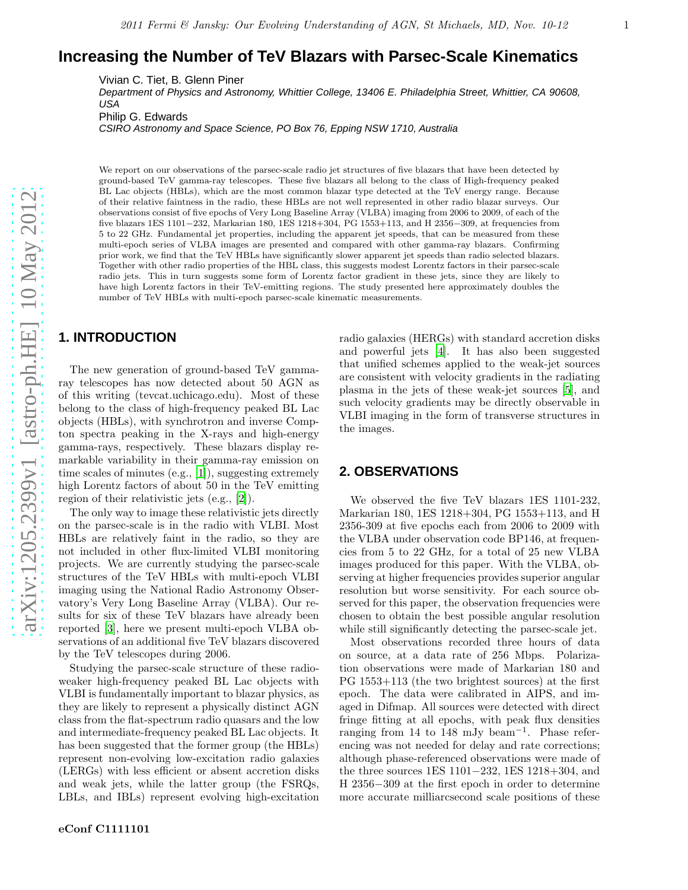## **Increasing the Number of TeV Blazars with Parsec-Scale Kinematics**

Vivian C. Tiet, B. Glenn Piner

Department of Physics and Astronomy, Whittier College, 13406 E. Philadelphia Street, Whittier, CA 90608, USA

Philip G. Edwards

CSIRO Astronomy and Space Science, PO Box 76, Epping NSW 1710, Australia

We report on our observations of the parsec-scale radio jet structures of five blazars that have been detected by ground-based TeV gamma-ray telescopes. These five blazars all belong to the class of High-frequency peaked BL Lac objects (HBLs), which are the most common blazar type detected at the TeV energy range. Because of their relative faintness in the radio, these HBLs are not well represented in other radio blazar surveys. Our observations consist of five epochs of Very Long Baseline Array (VLBA) imaging from 2006 to 2009, of each of the five blazars 1ES 1101−232, Markarian 180, 1ES 1218+304, PG 1553+113, and H 2356−309, at frequencies from 5 to 22 GHz. Fundamental jet properties, including the apparent jet speeds, that can be measured from these multi-epoch series of VLBA images are presented and compared with other gamma-ray blazars. Confirming prior work, we find that the TeV HBLs have significantly slower apparent jet speeds than radio selected blazars. Together with other radio properties of the HBL class, this suggests modest Lorentz factors in their parsec-scale radio jets. This in turn suggests some form of Lorentz factor gradient in these jets, since they are likely to have high Lorentz factors in their TeV-emitting regions. The study presented here approximately doubles the number of TeV HBLs with multi-epoch parsec-scale kinematic measurements.

#### **1. INTRODUCTION**

The new generation of ground-based TeV gammaray telescopes has now detected about 50 AGN as of this writing (tevcat.uchicago.edu). Most of these belong to the class of high-frequency peaked BL Lac objects (HBLs), with synchrotron and inverse Compton spectra peaking in the X-rays and high-energy gamma-rays, respectively. These blazars display remarkable variability in their gamma-ray emission on time scales of minutes (e.g., [\[1](#page-5-0)]), suggesting extremely high Lorentz factors of about 50 in the TeV emitting region of their relativistic jets (e.g., [\[2\]](#page-5-1)).

The only way to image these relativistic jets directly on the parsec-scale is in the radio with VLBI. Most HBLs are relatively faint in the radio, so they are not included in other flux-limited VLBI monitoring projects. We are currently studying the parsec-scale structures of the TeV HBLs with multi-epoch VLBI imaging using the National Radio Astronomy Observatory's Very Long Baseline Array (VLBA). Our results for six of these TeV blazars have already been reported [\[3\]](#page-5-2), here we present multi-epoch VLBA observations of an additional five TeV blazars discovered by the TeV telescopes during 2006.

Studying the parsec-scale structure of these radioweaker high-frequency peaked BL Lac objects with VLBI is fundamentally important to blazar physics, as they are likely to represent a physically distinct AGN class from the flat-spectrum radio quasars and the low and intermediate-frequency peaked BL Lac objects. It has been suggested that the former group (the HBLs) represent non-evolving low-excitation radio galaxies (LERGs) with less efficient or absent accretion disks and weak jets, while the latter group (the FSRQs, LBLs, and IBLs) represent evolving high-excitation radio galaxies (HERGs) with standard accretion disks and powerful jets [\[4\]](#page-5-3). It has also been suggested that unified schemes applied to the weak-jet sources are consistent with velocity gradients in the radiating plasma in the jets of these weak-jet sources [\[5](#page-5-4)], and such velocity gradients may be directly observable in VLBI imaging in the form of transverse structures in the images.

#### **2. OBSERVATIONS**

We observed the five TeV blazars 1ES 1101-232, Markarian 180, 1ES 1218+304, PG 1553+113, and H 2356-309 at five epochs each from 2006 to 2009 with the VLBA under observation code BP146, at frequencies from 5 to 22 GHz, for a total of 25 new VLBA images produced for this paper. With the VLBA, observing at higher frequencies provides superior angular resolution but worse sensitivity. For each source observed for this paper, the observation frequencies were chosen to obtain the best possible angular resolution while still significantly detecting the parsec-scale jet.

Most observations recorded three hours of data on source, at a data rate of 256 Mbps. Polarization observations were made of Markarian 180 and PG 1553+113 (the two brightest sources) at the first epoch. The data were calibrated in AIPS, and imaged in Difmap. All sources were detected with direct fringe fitting at all epochs, with peak flux densities ranging from 14 to 148 mJy beam<sup>−</sup><sup>1</sup> . Phase referencing was not needed for delay and rate corrections; although phase-referenced observations were made of the three sources 1ES 1101−232, 1ES 1218+304, and H 2356−309 at the first epoch in order to determine more accurate milliarcsecond scale positions of these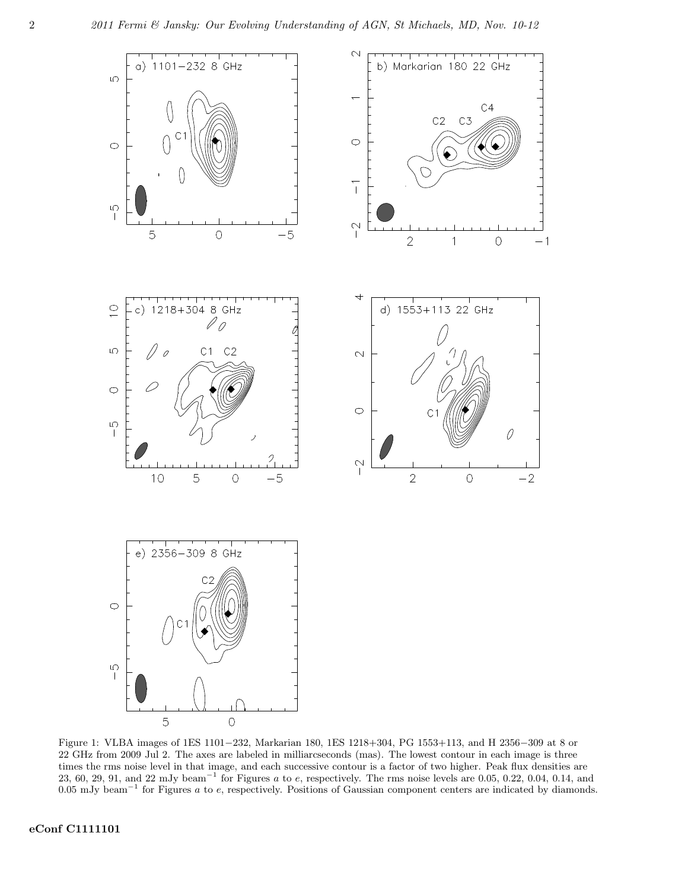

Figure 1: VLBA images of 1ES 1101−232, Markarian 180, 1ES 1218+304, PG 1553+113, and H 2356−309 at 8 or 22 GHz from 2009 Jul 2. The axes are labeled in milliarcseconds (mas). The lowest contour in each image is three times the rms noise level in that image, and each successive contour is a factor of two higher. Peak flux densities are 23, 60, 29, 91, and 22 mJy beam<sup>-1</sup> for Figures a to e, respectively. The rms noise levels are 0.05, 0.22, 0.04, 0.14, and 0.05 mJy beam<sup>-1</sup> for Figures a to e, respectively. Positions of Gaussian component centers are indicated by diamonds.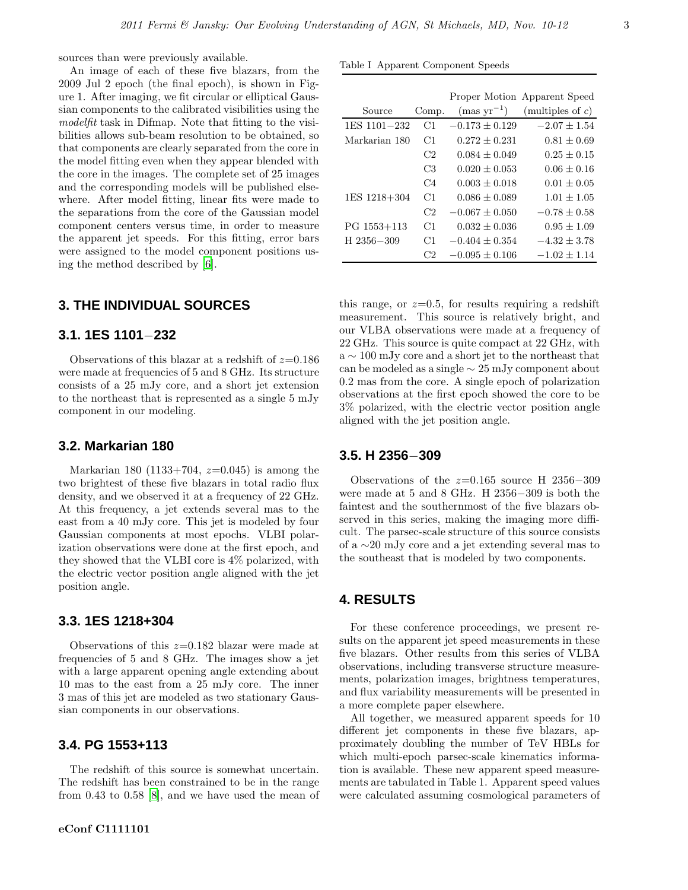sources than were previously available.

An image of each of these five blazars, from the 2009 Jul 2 epoch (the final epoch), is shown in Figure 1. After imaging, we fit circular or elliptical Gaussian components to the calibrated visibilities using the modelfit task in Difmap. Note that fitting to the visibilities allows sub-beam resolution to be obtained, so that components are clearly separated from the core in the model fitting even when they appear blended with the core in the images. The complete set of 25 images and the corresponding models will be published elsewhere. After model fitting, linear fits were made to the separations from the core of the Gaussian model component centers versus time, in order to measure the apparent jet speeds. For this fitting, error bars were assigned to the model component positions using the method described by [\[6\]](#page-5-5).

#### **3. THE INDIVIDUAL SOURCES**

#### **3.1. 1ES 1101**−**232**

Observations of this blazar at a redshift of  $z=0.186$ were made at frequencies of 5 and 8 GHz. Its structure consists of a 25 mJy core, and a short jet extension to the northeast that is represented as a single 5 mJy component in our modeling.

#### **3.2. Markarian 180**

Markarian 180 (1133+704,  $z=0.045$ ) is among the two brightest of these five blazars in total radio flux density, and we observed it at a frequency of 22 GHz. At this frequency, a jet extends several mas to the east from a 40 mJy core. This jet is modeled by four Gaussian components at most epochs. VLBI polarization observations were done at the first epoch, and they showed that the VLBI core is 4% polarized, with the electric vector position angle aligned with the jet position angle.

#### **3.3. 1ES 1218+304**

Observations of this  $z=0.182$  blazar were made at frequencies of 5 and 8 GHz. The images show a jet with a large apparent opening angle extending about 10 mas to the east from a 25 mJy core. The inner 3 mas of this jet are modeled as two stationary Gaussian components in our observations.

#### **3.4. PG 1553+113**

The redshift of this source is somewhat uncertain. The redshift has been constrained to be in the range from 0.43 to 0.58 [\[8\]](#page-5-6), and we have used the mean of

#### Table I Apparent Component Speeds

|               |                |                        | Proper Motion Apparent Speed |
|---------------|----------------|------------------------|------------------------------|
| Source        | Comp.          | $\text{(mas yr}^{-1})$ | (multiples of $c$ )          |
| 1ES 1101-232  | C1             | $-0.173 + 0.129$       | $-2.07 + 1.54$               |
| Markarian 180 | C1             | $0.272 + 0.231$        | $0.81 + 0.69$                |
|               | C <sub>2</sub> | $0.084 + 0.049$        | $0.25 + 0.15$                |
|               | C3             | $0.020 \pm 0.053$      | $0.06 \pm 0.16$              |
|               | C <sub>4</sub> | $0.003 + 0.018$        | $0.01 + 0.05$                |
| 1ES 1218+304  | C1             | $0.086 + 0.089$        | $1.01 \pm 1.05$              |
|               | C <sub>2</sub> | $-0.067 + 0.050$       | $-0.78 + 0.58$               |
| PG 1553+113   | C1             | $0.032 + 0.036$        | $0.95 \pm 1.09$              |
| H 2356-309    | C1             | $-0.404 + 0.354$       | $-4.32 + 3.78$               |
|               | C2             | $-0.095 + 0.106$       | $-1.02 + 1.14$               |

this range, or  $z=0.5$ , for results requiring a redshift measurement. This source is relatively bright, and our VLBA observations were made at a frequency of 22 GHz. This source is quite compact at 22 GHz, with a ∼ 100 mJy core and a short jet to the northeast that can be modeled as a single ∼ 25 mJy component about 0.2 mas from the core. A single epoch of polarization observations at the first epoch showed the core to be 3% polarized, with the electric vector position angle aligned with the jet position angle.

#### **3.5. H 2356**−**309**

Observations of the  $z=0.165$  source H 2356-309 were made at 5 and 8 GHz. H 2356−309 is both the faintest and the southernmost of the five blazars observed in this series, making the imaging more difficult. The parsec-scale structure of this source consists of a ∼20 mJy core and a jet extending several mas to the southeast that is modeled by two components.

#### **4. RESULTS**

For these conference proceedings, we present results on the apparent jet speed measurements in these five blazars. Other results from this series of VLBA observations, including transverse structure measurements, polarization images, brightness temperatures, and flux variability measurements will be presented in a more complete paper elsewhere.

All together, we measured apparent speeds for 10 different jet components in these five blazars, approximately doubling the number of TeV HBLs for which multi-epoch parsec-scale kinematics information is available. These new apparent speed measurements are tabulated in Table 1. Apparent speed values were calculated assuming cosmological parameters of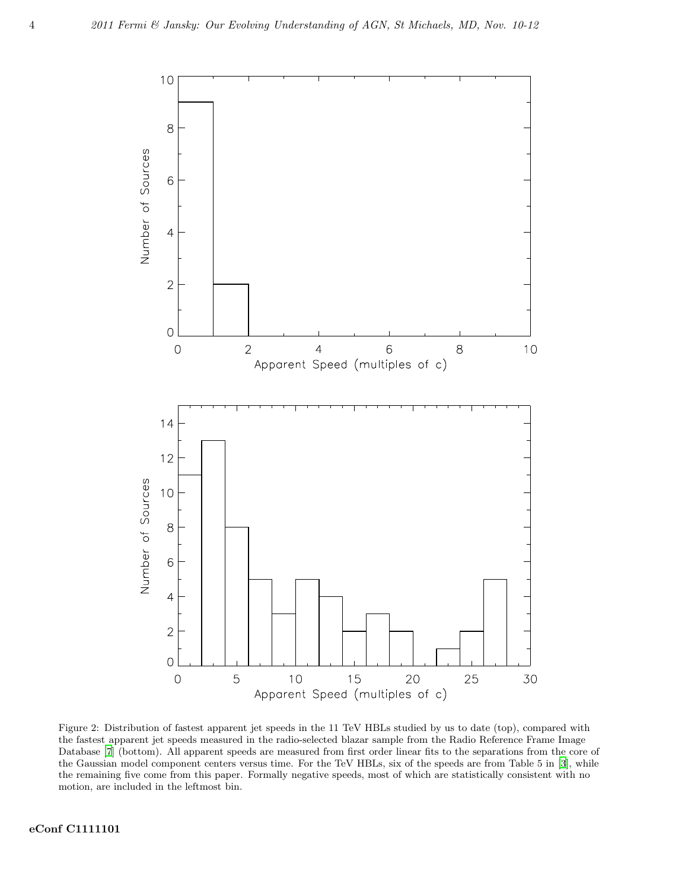

Figure 2: Distribution of fastest apparent jet speeds in the 11 TeV HBLs studied by us to date (top), compared with the fastest apparent jet speeds measured in the radio-selected blazar sample from the Radio Reference Frame Image Database [\[7](#page-5-7)] (bottom). All apparent speeds are measured from first order linear fits to the separations from the core of the Gaussian model component centers versus time. For the TeV HBLs, six of the speeds are from Table 5 in [\[3\]](#page-5-2), while the remaining five come from this paper. Formally negative speeds, most of which are statistically consistent with no motion, are included in the leftmost bin.